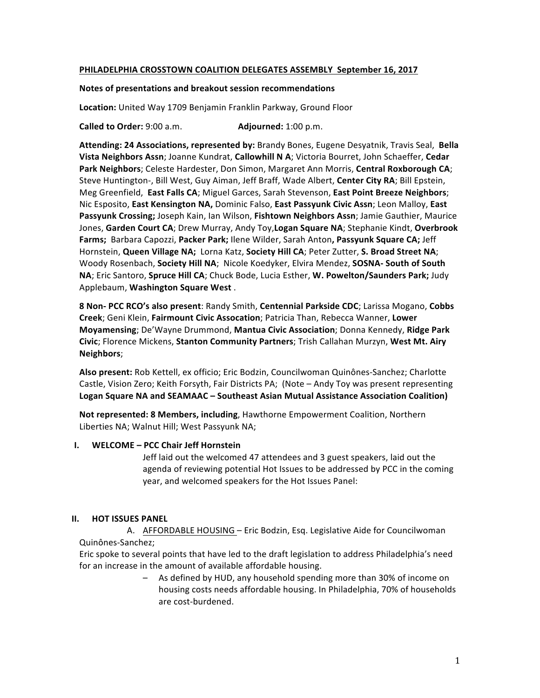### **PHILADELPHIA CROSSTOWN COALITION DELEGATES ASSEMBLY September 16, 2017**

#### **Notes of presentations and breakout session recommendations**

Location: United Way 1709 Benjamin Franklin Parkway, Ground Floor

**Called to Order:** 9:00 a.m. **Adjourned:** 1:00 p.m.

Attending: 24 Associations, represented by: Brandy Bones, Eugene Desyatnik, Travis Seal, Bella Vista Neighbors Assn; Joanne Kundrat, Callowhill N A; Victoria Bourret, John Schaeffer, Cedar Park Neighbors; Celeste Hardester, Don Simon, Margaret Ann Morris, Central Roxborough CA; Steve Huntington-, Bill West, Guy Aiman, Jeff Braff, Wade Albert, Center City RA; Bill Epstein, Meg Greenfield, East Falls CA; Miguel Garces, Sarah Stevenson, East Point Breeze Neighbors; Nic Esposito, East Kensington NA, Dominic Falso, East Passyunk Civic Assn; Leon Malloy, East **Passyunk Crossing;** Joseph Kain, Ian Wilson, Fishtown Neighbors Assn; Jamie Gauthier, Maurice Jones, Garden Court CA; Drew Murray, Andy Toy, Logan Square NA; Stephanie Kindt, Overbrook **Farms;** Barbara Capozzi, Packer Park; llene Wilder, Sarah Anton, Passyunk Square CA; Jeff Hornstein, Queen Village NA; Lorna Katz, Society Hill CA; Peter Zutter, S. Broad Street NA; Woody Rosenbach, Society Hill NA; Nicole Koedyker, Elvira Mendez, SOSNA- South of South NA; Eric Santoro, Spruce Hill CA; Chuck Bode, Lucia Esther, W. Powelton/Saunders Park; Judy Applebaum, Washington Square West.

**8 Non- PCC RCO's also present**: Randy Smith, **Centennial Parkside CDC**; Larissa Mogano, **Cobbs Creek**; Geni Klein, Fairmount Civic Assocation; Patricia Than, Rebecca Wanner, Lower **Moyamensing**; De'Wayne Drummond, Mantua Civic Association; Donna Kennedy, Ridge Park **Civic**; Florence Mickens, **Stanton Community Partners**; Trish Callahan Murzyn, West Mt. Airy **Neighbors**;

Also present: Rob Kettell, ex officio; Eric Bodzin, Councilwoman Quinônes-Sanchez; Charlotte Castle, Vision Zero; Keith Forsyth, Fair Districts PA; (Note - Andy Toy was present representing Logan Square NA and SEAMAAC – Southeast Asian Mutual Assistance Association Coalition)

**Not represented: 8 Members, including, Hawthorne Empowerment Coalition, Northern** Liberties NA; Walnut Hill; West Passyunk NA;

### **I. WELCOME – PCC Chair Jeff Hornstein**

Jeff laid out the welcomed 47 attendees and 3 guest speakers, laid out the agenda of reviewing potential Hot Issues to be addressed by PCC in the coming year, and welcomed speakers for the Hot Issues Panel:

### **II. HOT ISSUES PANEL**

A. AFFORDABLE HOUSING – Eric Bodzin, Esg. Legislative Aide for Councilwoman Quinônes-Sanchez;

Eric spoke to several points that have led to the draft legislation to address Philadelphia's need for an increase in the amount of available affordable housing.

> As defined by HUD, any household spending more than 30% of income on housing costs needs affordable housing. In Philadelphia, 70% of households are cost-burdened.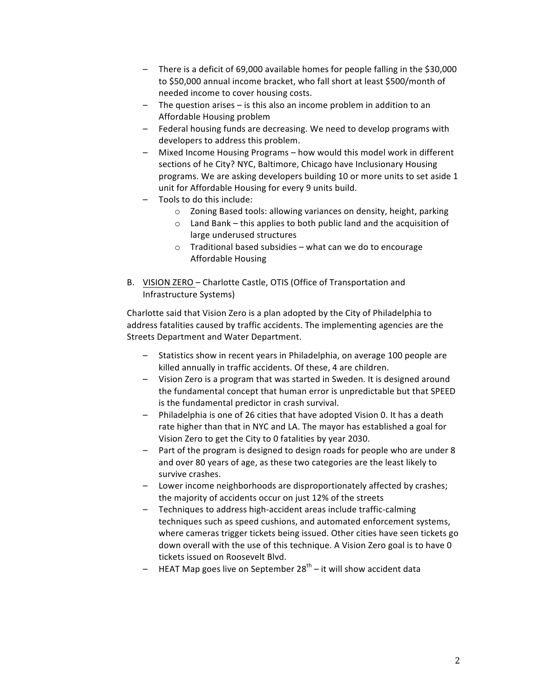- $-$  There is a deficit of 69,000 available homes for people falling in the \$30,000 to \$50,000 annual income bracket, who fall short at least \$500/month of needed income to cover housing costs.
- $-$  The question arises  $-$  is this also an income problem in addition to an Affordable Housing problem
- Federal housing funds are decreasing. We need to develop programs with developers to address this problem.
- Mixed Income Housing Programs how would this model work in different sections of he City? NYC, Baltimore, Chicago have Inclusionary Housing programs. We are asking developers building 10 or more units to set aside 1 unit for Affordable Housing for every 9 units build.
- Tools to do this include:
	- $\circ$  Zoning Based tools: allowing variances on density, height, parking
	- $\circ$  Land Bank this applies to both public land and the acquisition of large underused structures
	- $\circ$  Traditional based subsidies what can we do to encourage Affordable Housing
- B. VISION ZERO Charlotte Castle, OTIS (Office of Transportation and Infrastructure Systems)

Charlotte said that Vision Zero is a plan adopted by the City of Philadelphia to address fatalities caused by traffic accidents. The implementing agencies are the Streets Department and Water Department.

- Statistics show in recent years in Philadelphia, on average 100 people are killed annually in traffic accidents. Of these, 4 are children.
- $-$  Vision Zero is a program that was started in Sweden. It is designed around the fundamental concept that human error is unpredictable but that SPEED is the fundamental predictor in crash survival.
- $-$  Philadelphia is one of 26 cities that have adopted Vision 0. It has a death rate higher than that in NYC and LA. The mayor has established a goal for Vision Zero to get the City to 0 fatalities by year 2030.
- Part of the program is designed to design roads for people who are under 8 and over 80 years of age, as these two categories are the least likely to survive crashes.
- Lower income neighborhoods are disproportionately affected by crashes; the majority of accidents occur on just 12% of the streets
- Techniques to address high-accident areas include traffic-calming techniques such as speed cushions, and automated enforcement systems, where cameras trigger tickets being issued. Other cities have seen tickets go down overall with the use of this technique. A Vision Zero goal is to have 0 tickets issued on Roosevelt Blvd.
- HEAT Map goes live on September  $28^{th}$  it will show accident data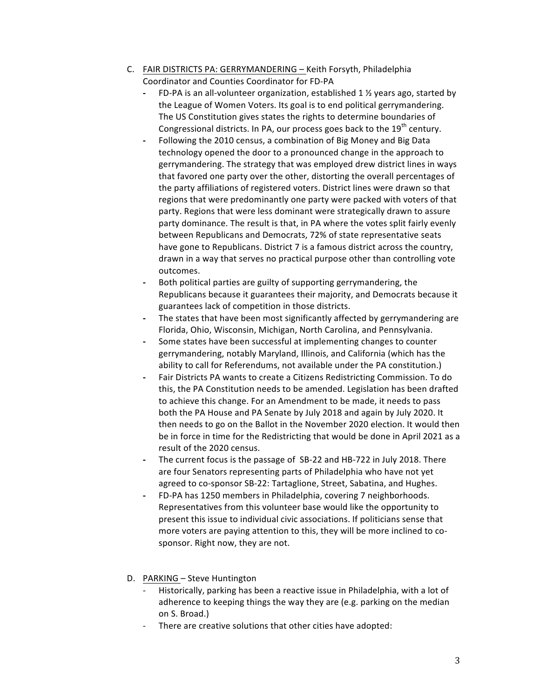- C. FAIR DISTRICTS PA: GERRYMANDERING Keith Forsyth, Philadelphia Coordinator and Counties Coordinator for FD-PA
	- FD-PA is an all-volunteer organization, established 1  $\frac{1}{2}$  years ago, started by the League of Women Voters. Its goal is to end political gerrymandering. The US Constitution gives states the rights to determine boundaries of Congressional districts. In PA, our process goes back to the  $19<sup>th</sup>$  century.
	- Following the 2010 census, a combination of Big Money and Big Data technology opened the door to a pronounced change in the approach to gerrymandering. The strategy that was employed drew district lines in ways that favored one party over the other, distorting the overall percentages of the party affiliations of registered voters. District lines were drawn so that regions that were predominantly one party were packed with voters of that party. Regions that were less dominant were strategically drawn to assure party dominance. The result is that, in PA where the votes split fairly evenly between Republicans and Democrats, 72% of state representative seats have gone to Republicans. District 7 is a famous district across the country, drawn in a way that serves no practical purpose other than controlling vote outcomes.
	- Both political parties are guilty of supporting gerrymandering, the Republicans because it guarantees their majority, and Democrats because it guarantees lack of competition in those districts.
	- The states that have been most significantly affected by gerrymandering are Florida, Ohio, Wisconsin, Michigan, North Carolina, and Pennsylvania.
	- Some states have been successful at implementing changes to counter gerrymandering, notably Maryland, Illinois, and California (which has the ability to call for Referendums, not available under the PA constitution.)
	- Fair Districts PA wants to create a Citizens Redistricting Commission. To do this, the PA Constitution needs to be amended. Legislation has been drafted to achieve this change. For an Amendment to be made, it needs to pass both the PA House and PA Senate by July 2018 and again by July 2020. It then needs to go on the Ballot in the November 2020 election. It would then be in force in time for the Redistricting that would be done in April 2021 as a result of the 2020 census.
	- The current focus is the passage of SB-22 and HB-722 in July 2018. There are four Senators representing parts of Philadelphia who have not yet agreed to co-sponsor SB-22: Tartaglione, Street, Sabatina, and Hughes.
	- FD-PA has 1250 members in Philadelphia, covering 7 neighborhoods. Representatives from this volunteer base would like the opportunity to present this issue to individual civic associations. If politicians sense that more voters are paying attention to this, they will be more inclined to cosponsor. Right now, they are not.
- D. PARKING Steve Huntington
	- Historically, parking has been a reactive issue in Philadelphia, with a lot of adherence to keeping things the way they are (e.g. parking on the median on S. Broad.)
	- There are creative solutions that other cities have adopted: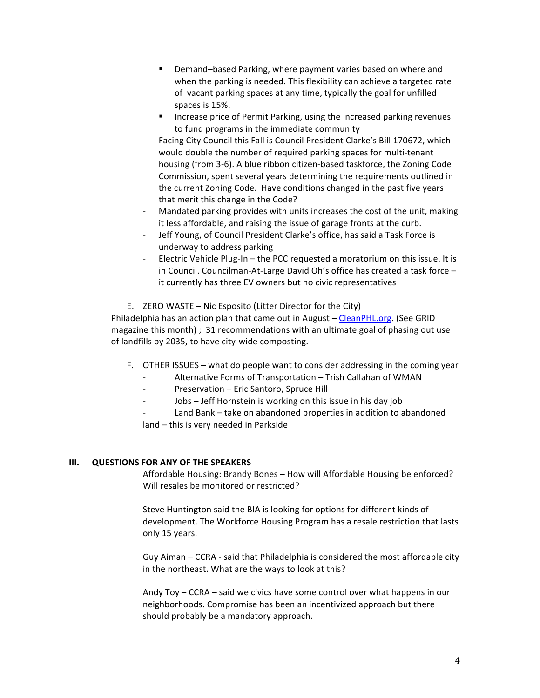- Demand–based Parking, where payment varies based on where and when the parking is needed. This flexibility can achieve a targeted rate of vacant parking spaces at any time, typically the goal for unfilled spaces is 15%.
- **IF Increase price of Permit Parking, using the increased parking revenues** to fund programs in the immediate community
- Facing City Council this Fall is Council President Clarke's Bill 170672, which would double the number of required parking spaces for multi-tenant housing (from 3-6). A blue ribbon citizen-based taskforce, the Zoning Code Commission, spent several years determining the requirements outlined in the current Zoning Code. Have conditions changed in the past five years that merit this change in the Code?
- Mandated parking provides with units increases the cost of the unit, making it less affordable, and raising the issue of garage fronts at the curb.
- Jeff Young, of Council President Clarke's office, has said a Task Force is underway to address parking
- Electric Vehicle Plug-In  $-$  the PCC requested a moratorium on this issue. It is in Council. Councilman-At-Large David Oh's office has created a task force it currently has three EV owners but no civic representatives
- E. ZERO WASTE Nic Esposito (Litter Director for the City)

Philadelphia has an action plan that came out in August – CleanPHL.org. (See GRID magazine this month) ;  $31$  recommendations with an ultimate goal of phasing out use of landfills by 2035, to have city-wide composting.

- F. OTHER ISSUES what do people want to consider addressing in the coming year
	- Alternative Forms of Transportation Trish Callahan of WMAN
	- Preservation Eric Santoro, Spruce Hill
	- Jobs Jeff Hornstein is working on this issue in his day job
	- Land Bank take on abandoned properties in addition to abandoned land – this is very needed in Parkside

### **III.** QUESTIONS FOR ANY OF THE SPEAKERS

Affordable Housing: Brandy Bones - How will Affordable Housing be enforced? Will resales be monitored or restricted?

Steve Huntington said the BIA is looking for options for different kinds of development. The Workforce Housing Program has a resale restriction that lasts only 15 years.

Guy Aiman – CCRA - said that Philadelphia is considered the most affordable city in the northeast. What are the ways to look at this?

Andy  $\text{Top}-\text{CCRA}$  – said we civics have some control over what happens in our neighborhoods. Compromise has been an incentivized approach but there should probably be a mandatory approach.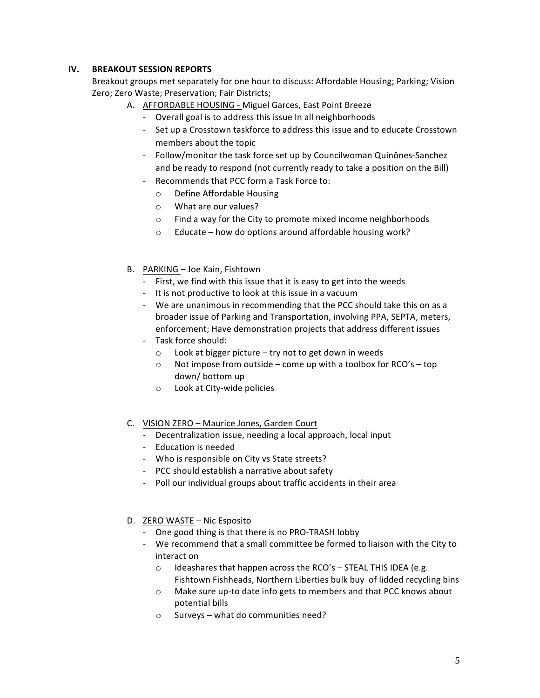# **IV.** BREAKOUT SESSION REPORTS

Breakout groups met separately for one hour to discuss: Affordable Housing; Parking; Vision Zero; Zero Waste; Preservation; Fair Districts;

- A. AFFORDABLE HOUSING Miguel Garces, East Point Breeze
	- Overall goal is to address this issue In all neighborhoods
	- Set up a Crosstown taskforce to address this issue and to educate Crosstown members about the topic
	- Follow/monitor the task force set up by Councilwoman Quinônes-Sanchez and be ready to respond (not currently ready to take a position on the Bill)
	- Recommends that PCC form a Task Force to:
		- o Define Affordable Housing
		- $\circ$  What are our values?
		- $\circ$  Find a way for the City to promote mixed income neighborhoods
		- $\circ$  Educate how do options around affordable housing work?
- B. PARKING Joe Kain, Fishtown
	- First, we find with this issue that it is easy to get into the weeds
	- It is not productive to look at this issue in a vacuum
	- We are unanimous in recommending that the PCC should take this on as a broader issue of Parking and Transportation, involving PPA, SEPTA, meters, enforcement; Have demonstration projects that address different issues
	- Task force should:
		- $\circ$  Look at bigger picture try not to get down in weeds
		- $\circ$  Not impose from outside come up with a toolbox for RCO's top down/ bottom up
		- o Look at City-wide policies
- C. VISION ZERO Maurice Jones, Garden Court
	- Decentralization issue, needing a local approach, local input
	- Education is needed
	- Who is responsible on City vs State streets?
	- PCC should establish a narrative about safety
	- Poll our individual groups about traffic accidents in their area
- D. ZERO WASTE Nic Esposito
	- One good thing is that there is no PRO-TRASH lobby
	- We recommend that a small committee be formed to liaison with the City to interact on
		- $\circ$  Ideashares that happen across the RCO's STEAL THIS IDEA (e.g. Fishtown Fishheads, Northern Liberties bulk buy of lidded recycling bins
		- o Make sure up-to date info gets to members and that PCC knows about potential bills
		- $\circ$  Surveys what do communities need?